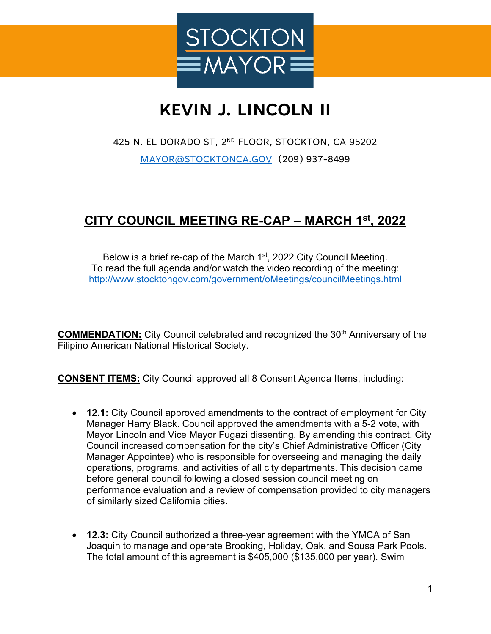

## **KEVIN J. LINCOLN II**

425 N. EL DORADO ST, 2ND FLOOR, STOCKTON, CA 95202 [MAYOR@STOCKTONCA.GOV](mailto:MAYOR@STOCKTONCA.GOV) (209) 937-8499

## **CITY COUNCIL MEETING RE-CAP – MARCH 1st, 2022**

Below is a brief re-cap of the March  $1<sup>st</sup>$ , 2022 City Council Meeting. To read the full agenda and/or watch the video recording of the meeting: <http://www.stocktongov.com/government/oMeetings/councilMeetings.html>

**COMMENDATION:** City Council celebrated and recognized the 30<sup>th</sup> Anniversary of the Filipino American National Historical Society.

**CONSENT ITEMS:** City Council approved all 8 Consent Agenda Items, including:

- **12.1:** City Council approved amendments to the contract of employment for City Manager Harry Black. Council approved the amendments with a 5-2 vote, with Mayor Lincoln and Vice Mayor Fugazi dissenting. By amending this contract, City Council increased compensation for the city's Chief Administrative Officer (City Manager Appointee) who is responsible for overseeing and managing the daily operations, programs, and activities of all city departments. This decision came before general council following a closed session council meeting on performance evaluation and a review of compensation provided to city managers of similarly sized California cities.
- **12.3:** City Council authorized a three-year agreement with the YMCA of San Joaquin to manage and operate Brooking, Holiday, Oak, and Sousa Park Pools. The total amount of this agreement is \$405,000 (\$135,000 per year). Swim